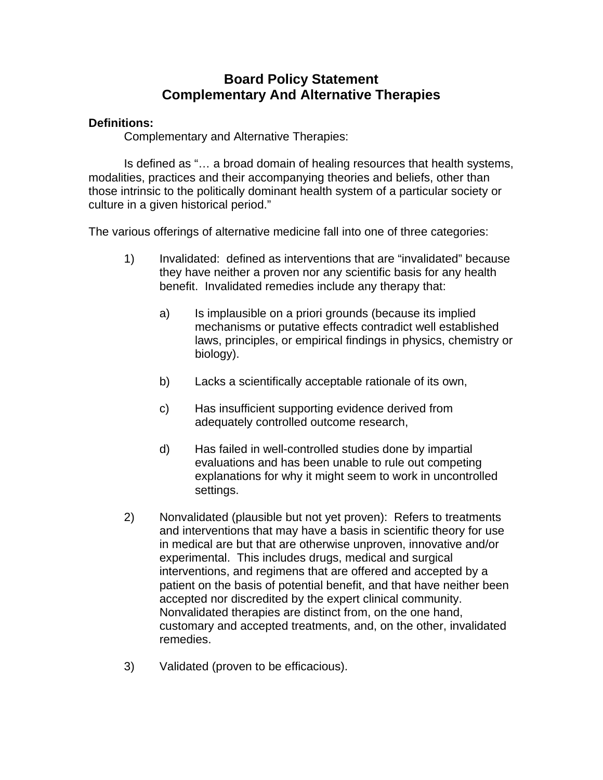## **Board Policy Statement Complementary And Alternative Therapies**

## **Definitions:**

Complementary and Alternative Therapies:

 Is defined as "… a broad domain of healing resources that health systems, modalities, practices and their accompanying theories and beliefs, other than those intrinsic to the politically dominant health system of a particular society or culture in a given historical period."

The various offerings of alternative medicine fall into one of three categories:

- 1) Invalidated: defined as interventions that are "invalidated" because they have neither a proven nor any scientific basis for any health benefit. Invalidated remedies include any therapy that:
	- a) Is implausible on a priori grounds (because its implied mechanisms or putative effects contradict well established laws, principles, or empirical findings in physics, chemistry or biology).
	- b) Lacks a scientifically acceptable rationale of its own,
	- c) Has insufficient supporting evidence derived from adequately controlled outcome research,
	- d) Has failed in well-controlled studies done by impartial evaluations and has been unable to rule out competing explanations for why it might seem to work in uncontrolled settings.
- 2) Nonvalidated (plausible but not yet proven): Refers to treatments and interventions that may have a basis in scientific theory for use in medical are but that are otherwise unproven, innovative and/or experimental. This includes drugs, medical and surgical interventions, and regimens that are offered and accepted by a patient on the basis of potential benefit, and that have neither been accepted nor discredited by the expert clinical community. Nonvalidated therapies are distinct from, on the one hand, customary and accepted treatments, and, on the other, invalidated remedies.
- 3) Validated (proven to be efficacious).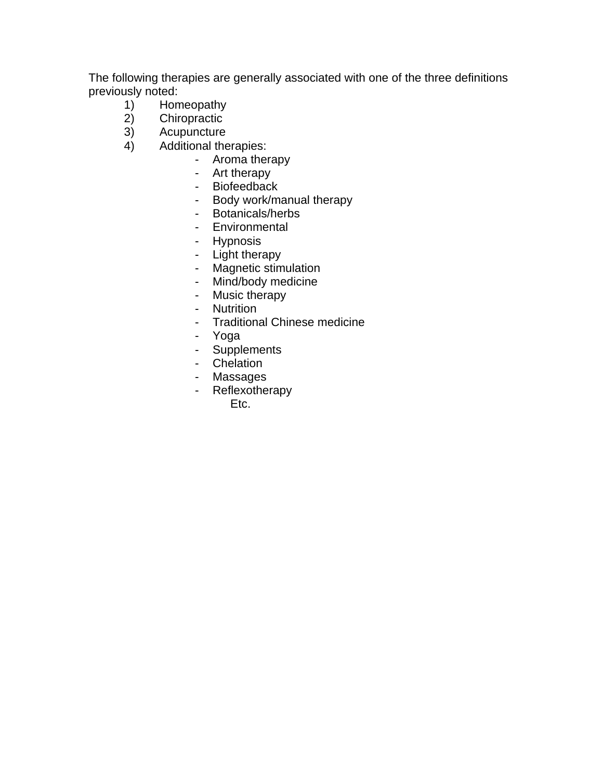The following therapies are generally associated with one of the three definitions previously noted:

- 1) Homeopathy
- 2) Chiropractic<br>3) Acupuncture
- 3) Acupuncture<br>4) Additional the
- Additional therapies:
	- Aroma therapy
		- Art therapy
		- Biofeedback
		- Body work/manual therapy
		- Botanicals/herbs
		- Environmental
		- Hypnosis
		- Light therapy
		- Magnetic stimulation
		- Mind/body medicine
		- Music therapy
		- Nutrition
		- Traditional Chinese medicine
		- Yoga
		- Supplements
		- Chelation
		- Massages
		- Reflexotherapy
			- Etc.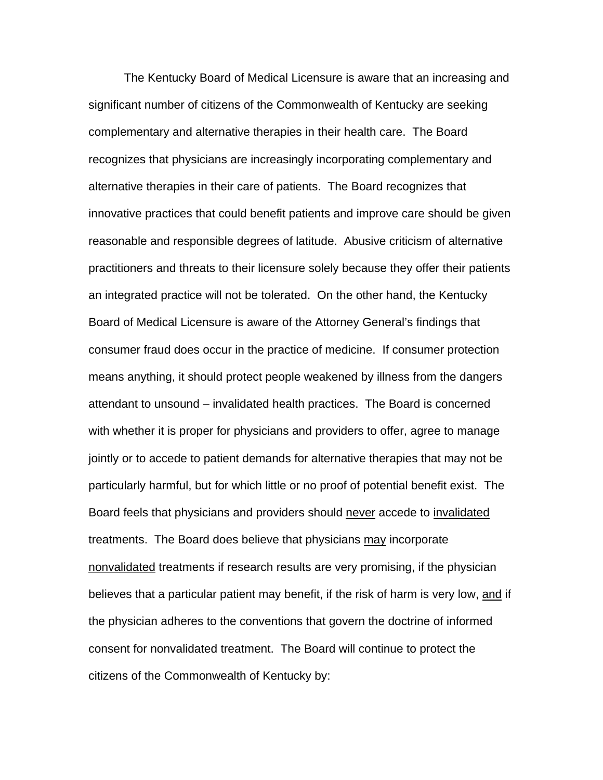The Kentucky Board of Medical Licensure is aware that an increasing and significant number of citizens of the Commonwealth of Kentucky are seeking complementary and alternative therapies in their health care. The Board recognizes that physicians are increasingly incorporating complementary and alternative therapies in their care of patients. The Board recognizes that innovative practices that could benefit patients and improve care should be given reasonable and responsible degrees of latitude. Abusive criticism of alternative practitioners and threats to their licensure solely because they offer their patients an integrated practice will not be tolerated. On the other hand, the Kentucky Board of Medical Licensure is aware of the Attorney General's findings that consumer fraud does occur in the practice of medicine. If consumer protection means anything, it should protect people weakened by illness from the dangers attendant to unsound – invalidated health practices. The Board is concerned with whether it is proper for physicians and providers to offer, agree to manage jointly or to accede to patient demands for alternative therapies that may not be particularly harmful, but for which little or no proof of potential benefit exist. The Board feels that physicians and providers should never accede to invalidated treatments. The Board does believe that physicians may incorporate nonvalidated treatments if research results are very promising, if the physician believes that a particular patient may benefit, if the risk of harm is very low, and if the physician adheres to the conventions that govern the doctrine of informed consent for nonvalidated treatment. The Board will continue to protect the citizens of the Commonwealth of Kentucky by: